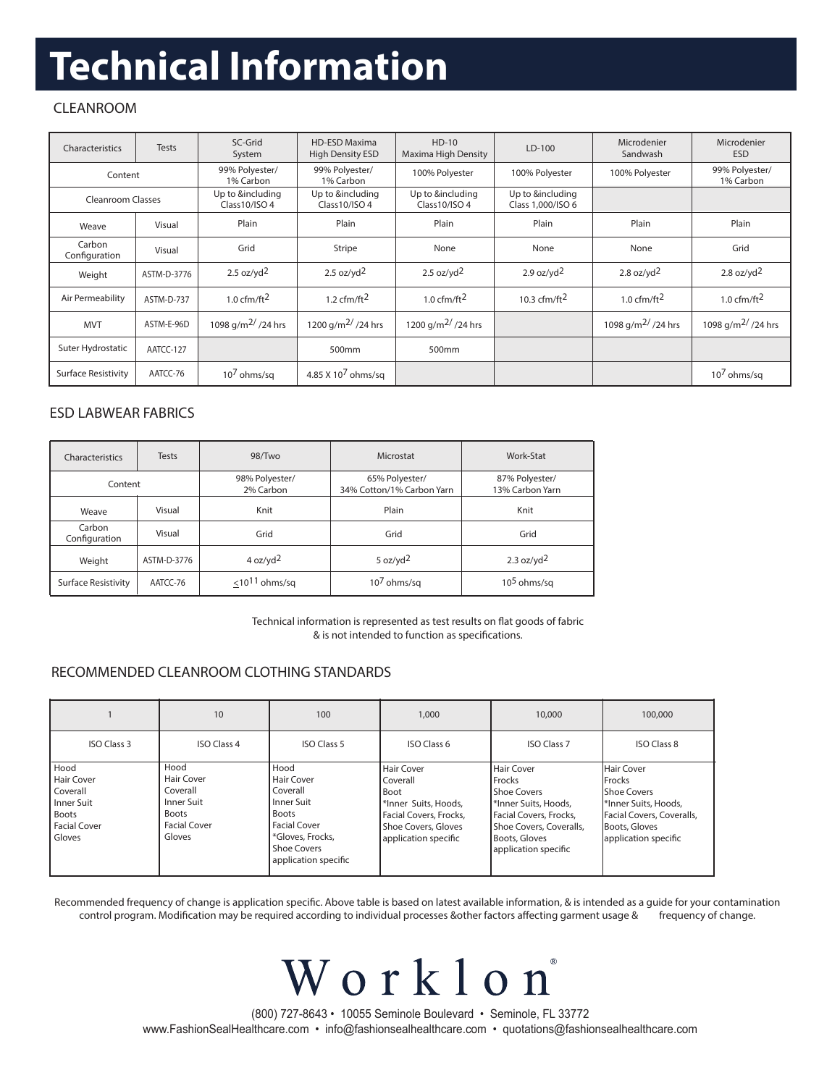# **Technical Information**

## CLEANROOM

| Characteristics            | <b>Tests</b>                            | SC-Grid<br>System                 | <b>HD-ESD Maxima</b><br><b>High Density ESD</b> | $HD-10$<br>Maxima High Density    | $LD-100$                              | Microdenier<br>Sandwash        | Microdenier<br><b>ESD</b>      |
|----------------------------|-----------------------------------------|-----------------------------------|-------------------------------------------------|-----------------------------------|---------------------------------------|--------------------------------|--------------------------------|
| Content                    |                                         | 99% Polyester/<br>1% Carbon       | 99% Polyester/<br>1% Carbon                     | 100% Polyester                    | 100% Polyester                        | 100% Polyester                 | 99% Polyester/<br>1% Carbon    |
| Cleanroom Classes          |                                         | Up to &including<br>Class10/ISO 4 | Up to &including<br>Class10/ISO 4               | Up to &including<br>Class10/ISO 4 | Up to &including<br>Class 1,000/ISO 6 |                                |                                |
| Weave                      | Visual                                  | Plain                             | Plain                                           | Plain                             | Plain                                 | Plain                          | Plain                          |
| Carbon<br>Configuration    | Visual                                  | Grid                              | Stripe                                          | None                              | None                                  | None                           | Grid                           |
| Weight                     | $2.5$ oz/yd <sup>2</sup><br>ASTM-D-3776 |                                   | 2.5 $oz/vd2$                                    | $2.5$ oz/yd <sup>2</sup>          | $2.9$ oz/yd <sup>2</sup>              | 2.8 oz/ $yd^2$                 | 2.8 oz/yd <sup>2</sup>         |
| Air Permeability           | ASTM-D-737                              | 1.0 cfm/ft $^2$                   | 1.2 cfm/ft $^2$                                 | 1.0 $cfm/ft2$                     | 10.3 cfm/ft $^2$                      | 1.0 cfm/ft $^2$                | 1.0 cfm/ft $^2$                |
| <b>MVT</b>                 | ASTM-E-96D                              | 1098 g/m <sup>2/</sup> /24 hrs    | 1200 g/m <sup>2/</sup> /24 hrs                  | 1200 g/m <sup>2/</sup> /24 hrs    |                                       | 1098 g/m <sup>2/</sup> /24 hrs | 1098 g/m <sup>2/</sup> /24 hrs |
| Suter Hydrostatic          | AATCC-127                               |                                   | 500 <sub>mm</sub>                               | 500 <sub>mm</sub>                 |                                       |                                |                                |
| <b>Surface Resistivity</b> | AATCC-76                                | $107$ ohms/sq                     | 4.85 X 10 <sup>7</sup> ohms/sq                  |                                   |                                       |                                | $107$ ohms/sq                  |

### ESD LABWEAR FABRICS

| Characteristics                                                        | <b>Tests</b>                        | 98/Two                      | Microstat                                   | Work-Stat                         |  |
|------------------------------------------------------------------------|-------------------------------------|-----------------------------|---------------------------------------------|-----------------------------------|--|
| Content                                                                |                                     | 98% Polyester/<br>2% Carbon | 65% Polyester/<br>34% Cotton/1% Carbon Yarn | 87% Polyester/<br>13% Carbon Yarn |  |
| Weave                                                                  | Visual                              | Knit                        | Plain                                       | Knit                              |  |
| Carbon<br>Configuration                                                | Visual                              | Grid                        | Grid                                        | Grid                              |  |
| Weight                                                                 | 4 oz/yd <sup>2</sup><br>ASTM-D-3776 |                             | 5 oz/yd $^2$                                | 2.3 $oz/vd2$                      |  |
| $<$ 10 <sup>11</sup> ohms/sq<br><b>Surface Resistivity</b><br>AATCC-76 |                                     | $107$ ohms/sq               | $105$ ohms/sq                               |                                   |  |

Technical information is represented as test results on flat goods of fabric & is not intended to function as specifications.

### RECOMMENDED CLEANROOM CLOTHING STANDARDS

|                                                                                        | 10                                                                                            | 100                                                                                                                                       | 1,000                                                                                                                                  | 10,000                                                                                                                                                     | 100,000                                                                                                                                            |
|----------------------------------------------------------------------------------------|-----------------------------------------------------------------------------------------------|-------------------------------------------------------------------------------------------------------------------------------------------|----------------------------------------------------------------------------------------------------------------------------------------|------------------------------------------------------------------------------------------------------------------------------------------------------------|----------------------------------------------------------------------------------------------------------------------------------------------------|
| <b>ISO Class 3</b>                                                                     | <b>ISO Class 4</b>                                                                            | <b>ISO Class 5</b>                                                                                                                        | ISO Class 6                                                                                                                            | <b>ISO Class 7</b>                                                                                                                                         | <b>ISO Class 8</b>                                                                                                                                 |
| Hood<br>Hair Cover<br>Coverall<br>Inner Suit<br>Boots<br><b>Facial Cover</b><br>Gloves | Hood<br>Hair Cover<br>Coverall<br>Inner Suit<br><b>Boots</b><br><b>Facial Cover</b><br>Gloves | Hood<br>Hair Cover<br>Coverall<br>l Inner Suit<br>Boots<br>Facial Cover<br>*Gloves, Frocks,<br><b>Shoe Covers</b><br>application specific | <b>Hair Cover</b><br>Coverall<br>Boot<br>*Inner Suits, Hoods,<br>Facial Covers, Frocks,<br>Shoe Covers, Gloves<br>application specific | Hair Cover<br>Frocks<br>Shoe Covers<br>I*Inner Suits, Hoods,<br>Facial Covers, Frocks,<br>Shoe Covers, Coveralls,<br>Boots, Gloves<br>application specific | Hair Cover<br><b>IFrocks</b><br><b>IShoe Covers</b><br>I*Inner Suits, Hoods,<br>Facial Covers, Coveralls,<br>Boots, Gloves<br>application specific |

Recommended frequency of change is application specific. Above table is based on latest available information, & is intended as a quide for your contamination control program. Modification may be required according to individual processes &other factors affecting garment usage & frequency of change.

> (800) 727-8643 • 10055 Seminole Boulevard • Seminole, FL 33772 www.FashionSealHealthcare.com • info@fashionsealhealthcare.com • quotations@fashionsealhealthcare.com

Worklon

 $\circledR$